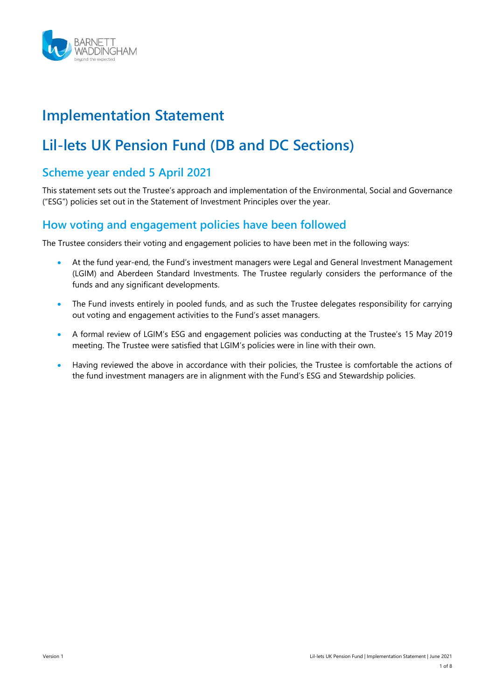

# **Implementation Statement**

# **Lil-lets UK Pension Fund (DB and DC Sections)**

# **Scheme year ended 5 April 2021**

This statement sets out the Trustee's approach and implementation of the Environmental, Social and Governance ("ESG") policies set out in the Statement of Investment Principles over the year.

# **How voting and engagement policies have been followed**

The Trustee considers their voting and engagement policies to have been met in the following ways:

- At the fund year-end, the Fund's investment managers were Legal and General Investment Management (LGIM) and Aberdeen Standard Investments. The Trustee regularly considers the performance of the funds and any significant developments.
- The Fund invests entirely in pooled funds, and as such the Trustee delegates responsibility for carrying out voting and engagement activities to the Fund's asset managers.
- A formal review of LGIM's ESG and engagement policies was conducting at the Trustee's 15 May 2019 meeting. The Trustee were satisfied that LGIM's policies were in line with their own.
- Having reviewed the above in accordance with their policies, the Trustee is comfortable the actions of the fund investment managers are in alignment with the Fund's ESG and Stewardship policies.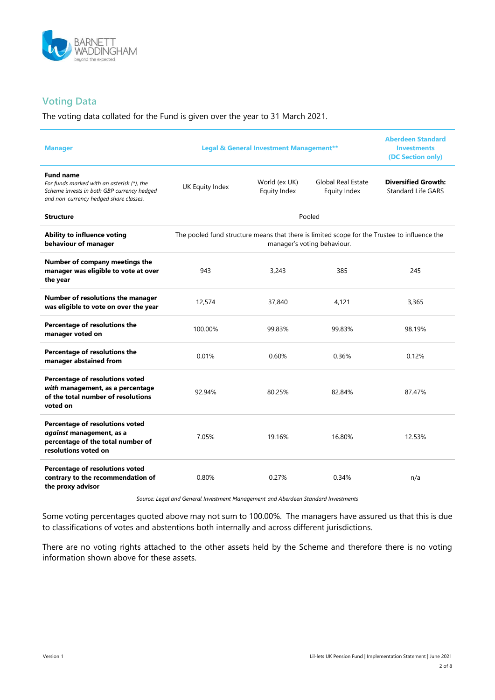

### **Voting Data**

The voting data collated for the Fund is given over the year to 31 March 2021.

| <b>Manager</b>                                                                                                                                         | <b>Legal &amp; General Investment Management**</b>                                                                          |                               |                                           | <b>Aberdeen Standard</b><br><b>Investments</b><br>(DC Section only) |
|--------------------------------------------------------------------------------------------------------------------------------------------------------|-----------------------------------------------------------------------------------------------------------------------------|-------------------------------|-------------------------------------------|---------------------------------------------------------------------|
| <b>Fund name</b><br>For funds marked with an asterisk (*), the<br>Scheme invests in both GBP currency hedged<br>and non-currency hedged share classes. | UK Equity Index                                                                                                             | World (ex UK)<br>Equity Index | <b>Global Real Estate</b><br>Equity Index | <b>Diversified Growth:</b><br><b>Standard Life GARS</b>             |
| <b>Structure</b>                                                                                                                                       | Pooled                                                                                                                      |                               |                                           |                                                                     |
| Ability to influence voting<br>behaviour of manager                                                                                                    | The pooled fund structure means that there is limited scope for the Trustee to influence the<br>manager's voting behaviour. |                               |                                           |                                                                     |
| Number of company meetings the<br>manager was eligible to vote at over<br>the year                                                                     | 943                                                                                                                         | 3,243                         | 385                                       | 245                                                                 |
| Number of resolutions the manager<br>was eligible to vote on over the year                                                                             | 12,574                                                                                                                      | 37,840                        | 4,121                                     | 3,365                                                               |
| Percentage of resolutions the<br>manager voted on                                                                                                      | 100.00%                                                                                                                     | 99.83%                        | 99.83%                                    | 98.19%                                                              |
| Percentage of resolutions the<br>manager abstained from                                                                                                | 0.01%                                                                                                                       | 0.60%                         | 0.36%                                     | 0.12%                                                               |
| Percentage of resolutions voted<br>with management, as a percentage<br>of the total number of resolutions<br>voted on                                  | 92.94%                                                                                                                      | 80.25%                        | 82.84%                                    | 87.47%                                                              |
| Percentage of resolutions voted<br>against management, as a<br>percentage of the total number of<br>resolutions voted on                               | 7.05%                                                                                                                       | 19.16%                        | 16.80%                                    | 12.53%                                                              |
| Percentage of resolutions voted<br>contrary to the recommendation of<br>the proxy advisor                                                              | 0.80%                                                                                                                       | 0.27%                         | 0.34%                                     | n/a                                                                 |

*Source: Legal and General Investment Management and Aberdeen Standard Investments*

Some voting percentages quoted above may not sum to 100.00%. The managers have assured us that this is due to classifications of votes and abstentions both internally and across different jurisdictions.

There are no voting rights attached to the other assets held by the Scheme and therefore there is no voting information shown above for these assets.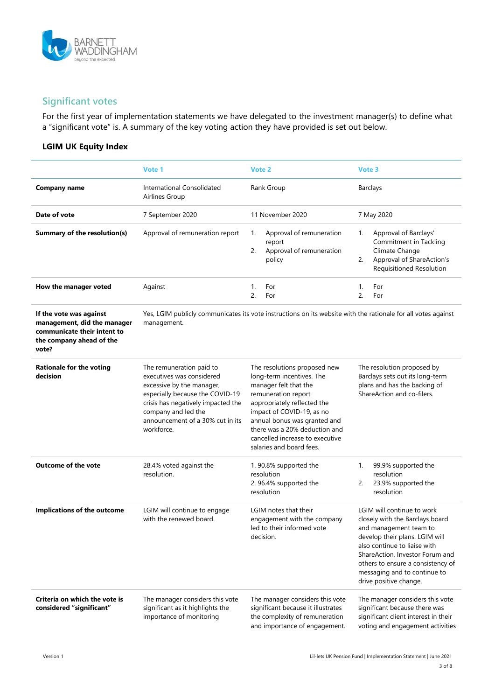

# **Significant votes**

For the first year of implementation statements we have delegated to the investment manager(s) to define what a "significant vote" is. A summary of the key voting action they have provided is set out below.

#### **LGIM UK Equity Index**

|                                                                                                                            | Vote 1                                                                                                                                                                                                                               | Vote 2                                                                                                                                                                                                                                                                                                | Vote 3                                                                                                                                                                                                                                                                                      |
|----------------------------------------------------------------------------------------------------------------------------|--------------------------------------------------------------------------------------------------------------------------------------------------------------------------------------------------------------------------------------|-------------------------------------------------------------------------------------------------------------------------------------------------------------------------------------------------------------------------------------------------------------------------------------------------------|---------------------------------------------------------------------------------------------------------------------------------------------------------------------------------------------------------------------------------------------------------------------------------------------|
| <b>Company name</b>                                                                                                        | International Consolidated<br>Airlines Group                                                                                                                                                                                         | Rank Group                                                                                                                                                                                                                                                                                            | <b>Barclays</b>                                                                                                                                                                                                                                                                             |
| Date of vote                                                                                                               | 7 September 2020                                                                                                                                                                                                                     | 11 November 2020                                                                                                                                                                                                                                                                                      | 7 May 2020                                                                                                                                                                                                                                                                                  |
| Summary of the resolution(s)                                                                                               | Approval of remuneration report                                                                                                                                                                                                      | Approval of remuneration<br>1.<br>report<br>2.<br>Approval of remuneration<br>policy                                                                                                                                                                                                                  | Approval of Barclays'<br>1.<br>Commitment in Tackling<br>Climate Change<br>Approval of ShareAction's<br>2.<br>Requisitioned Resolution                                                                                                                                                      |
| How the manager voted                                                                                                      | Against                                                                                                                                                                                                                              | For<br>1.<br>2.<br>For                                                                                                                                                                                                                                                                                | For<br>1.<br>2.<br>For                                                                                                                                                                                                                                                                      |
| If the vote was against<br>management, did the manager<br>communicate their intent to<br>the company ahead of the<br>vote? | management.                                                                                                                                                                                                                          | Yes, LGIM publicly communicates its vote instructions on its website with the rationale for all votes against                                                                                                                                                                                         |                                                                                                                                                                                                                                                                                             |
| <b>Rationale for the voting</b><br>decision                                                                                | The remuneration paid to<br>executives was considered<br>excessive by the manager,<br>especially because the COVID-19<br>crisis has negatively impacted the<br>company and led the<br>announcement of a 30% cut in its<br>workforce. | The resolutions proposed new<br>long-term incentives. The<br>manager felt that the<br>remuneration report<br>appropriately reflected the<br>impact of COVID-19, as no<br>annual bonus was granted and<br>there was a 20% deduction and<br>cancelled increase to executive<br>salaries and board fees. | The resolution proposed by<br>Barclays sets out its long-term<br>plans and has the backing of<br>ShareAction and co-filers.                                                                                                                                                                 |
| <b>Outcome of the vote</b>                                                                                                 | 28.4% voted against the<br>resolution.                                                                                                                                                                                               | 1.90.8% supported the<br>resolution<br>2.96.4% supported the<br>resolution                                                                                                                                                                                                                            | 99.9% supported the<br>1.<br>resolution<br>23.9% supported the<br>2.<br>resolution                                                                                                                                                                                                          |
| Implications of the outcome                                                                                                | LGIM will continue to engage<br>with the renewed board.                                                                                                                                                                              | LGIM notes that their<br>engagement with the company<br>led to their informed vote<br>decision.                                                                                                                                                                                                       | LGIM will continue to work<br>closely with the Barclays board<br>and management team to<br>develop their plans. LGIM will<br>also continue to liaise with<br>ShareAction, Investor Forum and<br>others to ensure a consistency of<br>messaging and to continue to<br>drive positive change. |
| Criteria on which the vote is<br>considered "significant"                                                                  | The manager considers this vote<br>significant as it highlights the<br>importance of monitoring                                                                                                                                      | The manager considers this vote<br>significant because it illustrates<br>the complexity of remuneration<br>and importance of engagement.                                                                                                                                                              | The manager considers this vote<br>significant because there was<br>significant client interest in their<br>voting and engagement activities                                                                                                                                                |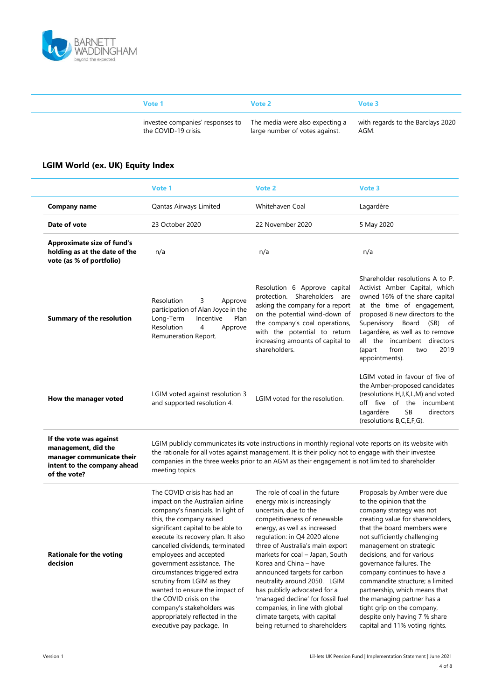

| Vote 1                                                                                   | Vote 2                         | Vote 3                                    |
|------------------------------------------------------------------------------------------|--------------------------------|-------------------------------------------|
| investee companies' responses to The media were also expecting a<br>the COVID-19 crisis. | large number of votes against. | with regards to the Barclays 2020<br>AGM. |

### **LGIM World (ex. UK) Equity Index**

|                                                                                                                            | Vote 1                                                                                                                                                                                                                                                                                                                                                                                                                                                           | Vote 2                                                                                                                                                                                                                                                                                                                                                                                                                                                        | Vote 3                                                                                                                                                                                                                                                                                                                                                                                                                                    |
|----------------------------------------------------------------------------------------------------------------------------|------------------------------------------------------------------------------------------------------------------------------------------------------------------------------------------------------------------------------------------------------------------------------------------------------------------------------------------------------------------------------------------------------------------------------------------------------------------|---------------------------------------------------------------------------------------------------------------------------------------------------------------------------------------------------------------------------------------------------------------------------------------------------------------------------------------------------------------------------------------------------------------------------------------------------------------|-------------------------------------------------------------------------------------------------------------------------------------------------------------------------------------------------------------------------------------------------------------------------------------------------------------------------------------------------------------------------------------------------------------------------------------------|
| <b>Company name</b>                                                                                                        | Qantas Airways Limited                                                                                                                                                                                                                                                                                                                                                                                                                                           | <b>Whitehaven Coal</b>                                                                                                                                                                                                                                                                                                                                                                                                                                        | Lagardère                                                                                                                                                                                                                                                                                                                                                                                                                                 |
| Date of vote                                                                                                               | 23 October 2020                                                                                                                                                                                                                                                                                                                                                                                                                                                  | 22 November 2020                                                                                                                                                                                                                                                                                                                                                                                                                                              | 5 May 2020                                                                                                                                                                                                                                                                                                                                                                                                                                |
| <b>Approximate size of fund's</b><br>holding as at the date of the<br>vote (as % of portfolio)                             | n/a                                                                                                                                                                                                                                                                                                                                                                                                                                                              | n/a                                                                                                                                                                                                                                                                                                                                                                                                                                                           | n/a                                                                                                                                                                                                                                                                                                                                                                                                                                       |
| <b>Summary of the resolution</b>                                                                                           | 3<br>Resolution<br>Approve<br>participation of Alan Joyce in the<br>Long-Term<br>Plan<br>Incentive<br>Resolution<br>4<br>Approve<br>Remuneration Report.                                                                                                                                                                                                                                                                                                         | Resolution 6 Approve capital<br>protection. Shareholders are<br>asking the company for a report<br>on the potential wind-down of<br>the company's coal operations,<br>with the potential to return<br>increasing amounts of capital to<br>shareholders.                                                                                                                                                                                                       | Shareholder resolutions A to P.<br>Activist Amber Capital, which<br>owned 16% of the share capital<br>at the time of engagement,<br>proposed 8 new directors to the<br>Supervisory Board (SB) of<br>Lagardère, as well as to remove<br>all the incumbent directors<br>2019<br>(apart<br>from<br>two<br>appointments).                                                                                                                     |
| How the manager voted                                                                                                      | LGIM voted against resolution 3<br>and supported resolution 4.                                                                                                                                                                                                                                                                                                                                                                                                   | LGIM voted for the resolution.                                                                                                                                                                                                                                                                                                                                                                                                                                | LGIM voted in favour of five of<br>the Amber-proposed candidates<br>(resolutions H, J, K, L, M) and voted<br>off five of the incumbent<br>Lagardère<br><b>SB</b><br>directors<br>(resolutions B,C,E,F,G).                                                                                                                                                                                                                                 |
| If the vote was against<br>management, did the<br>manager communicate their<br>intent to the company ahead<br>of the vote? | meeting topics                                                                                                                                                                                                                                                                                                                                                                                                                                                   | LGIM publicly communicates its vote instructions in monthly regional vote reports on its website with<br>the rationale for all votes against management. It is their policy not to engage with their investee<br>companies in the three weeks prior to an AGM as their engagement is not limited to shareholder                                                                                                                                               |                                                                                                                                                                                                                                                                                                                                                                                                                                           |
| <b>Rationale for the voting</b><br>decision                                                                                | The COVID crisis has had an<br>impact on the Australian airline<br>company's financials. In light of<br>this, the company raised<br>significant capital to be able to<br>execute its recovery plan. It also<br>cancelled dividends, terminated<br>employees and accepted<br>government assistance. The<br>circumstances triggered extra<br>scrutiny from LGIM as they<br>wanted to ensure the impact of<br>the COVID crisis on the<br>company's stakeholders was | The role of coal in the future<br>energy mix is increasingly<br>uncertain, due to the<br>competitiveness of renewable<br>energy, as well as increased<br>regulation: in Q4 2020 alone<br>three of Australia's main export<br>markets for coal - Japan, South<br>Korea and China - have<br>announced targets for carbon<br>neutrality around 2050. LGIM<br>has publicly advocated for a<br>'managed decline' for fossil fuel<br>companies, in line with global | Proposals by Amber were due<br>to the opinion that the<br>company strategy was not<br>creating value for shareholders,<br>that the board members were<br>not sufficiently challenging<br>management on strategic<br>decisions, and for various<br>governance failures. The<br>company continues to have a<br>commandite structure; a limited<br>partnership, which means that<br>the managing partner has a<br>tight grip on the company, |

appropriately reflected in the executive pay package. In

despite only having 7 % share capital and 11% voting rights.

climate targets, with capital being returned to shareholders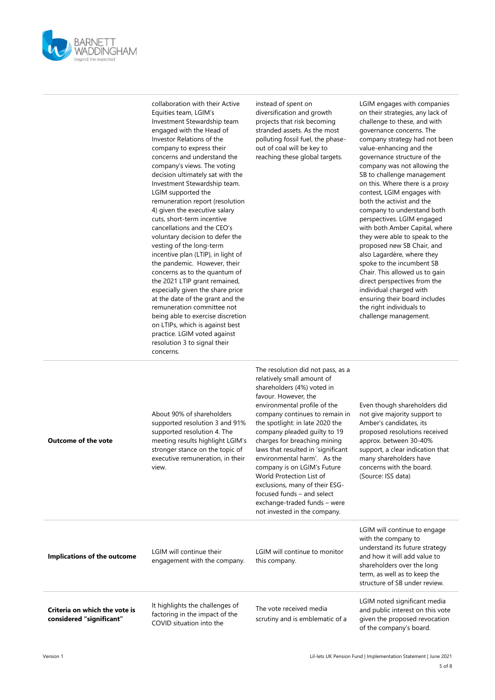

| collaboration with their Active    |
|------------------------------------|
| Equities team, LGIM's              |
| Investment Stewardship team        |
| engaged with the Head of           |
| Investor Relations of the          |
| company to express their           |
| concerns and understand the        |
| company's views. The voting        |
| decision ultimately sat with the   |
| Investment Stewardship team.       |
| LGIM supported the                 |
| remuneration report (resolution    |
| 4) given the executive salary      |
| cuts, short-term incentive         |
| cancellations and the CEO's        |
| voluntary decision to defer the    |
| vesting of the long-term           |
| incentive plan (LTIP), in light of |
| the pandemic. However, their       |
| concerns as to the quantum of      |
| the 2021 LTIP grant remained,      |
| especially given the share price   |
| at the date of the grant and the   |
| remuneration committee not         |
| being able to exercise discretion  |
| on LTIPs, which is against best    |
| practice. LGIM voted against       |
| resolution 3 to signal their       |
| concerns.                          |
|                                    |

instead of spent on diversification and growth projects that risk becoming stranded assets. As the most polluting fossil fuel, the phaseout of coal will be key to reaching these global targets.

LGIM engages with companies on their strategies, any lack of challenge to these, and with governance concerns. The company strategy had not been value-enhancing and the governance structure of the company was not allowing the SB to challenge management on this. Where there is a proxy contest, LGIM engages with both the activist and the company to understand both perspectives. LGIM engaged with both Amber Capital, where they were able to speak to the proposed new SB Chair, and also Lagardère, where they spoke to the incumbent SB Chair. This allowed us to gain direct perspectives from the individual charged with ensuring their board includes the right individuals to challenge management.

| <b>Outcome of the vote</b>                                | About 90% of shareholders<br>supported resolution 3 and 91%<br>supported resolution 4. The<br>meeting results highlight LGIM's<br>stronger stance on the topic of<br>executive remuneration, in their<br>view. | The resolution did not pass, as a<br>relatively small amount of<br>shareholders (4%) voted in<br>favour. However, the<br>environmental profile of the<br>company continues to remain in<br>the spotlight: in late 2020 the<br>company pleaded quilty to 19<br>charges for breaching mining<br>laws that resulted in 'significant<br>environmental harm'. As the<br>company is on LGIM's Future<br>World Protection List of<br>exclusions, many of their ESG-<br>focused funds - and select<br>exchange-traded funds - were<br>not invested in the company. | Even though shareholders did<br>not give majority support to<br>Amber's candidates, its<br>proposed resolutions received<br>approx. between 30-40%<br>support, a clear indication that<br>many shareholders have<br>concerns with the board.<br>(Source: ISS data) |
|-----------------------------------------------------------|----------------------------------------------------------------------------------------------------------------------------------------------------------------------------------------------------------------|------------------------------------------------------------------------------------------------------------------------------------------------------------------------------------------------------------------------------------------------------------------------------------------------------------------------------------------------------------------------------------------------------------------------------------------------------------------------------------------------------------------------------------------------------------|--------------------------------------------------------------------------------------------------------------------------------------------------------------------------------------------------------------------------------------------------------------------|
| Implications of the outcome                               | LGIM will continue their<br>engagement with the company.                                                                                                                                                       | LGIM will continue to monitor<br>this company.                                                                                                                                                                                                                                                                                                                                                                                                                                                                                                             | LGIM will continue to engage<br>with the company to<br>understand its future strategy<br>and how it will add value to<br>shareholders over the long<br>term, as well as to keep the<br>structure of SB under review.                                               |
| Criteria on which the vote is<br>considered "significant" | It highlights the challenges of<br>factoring in the impact of the<br>COVID situation into the                                                                                                                  | The vote received media<br>scrutiny and is emblematic of a                                                                                                                                                                                                                                                                                                                                                                                                                                                                                                 | LGIM noted significant media<br>and public interest on this vote<br>given the proposed revocation<br>of the company's board.                                                                                                                                       |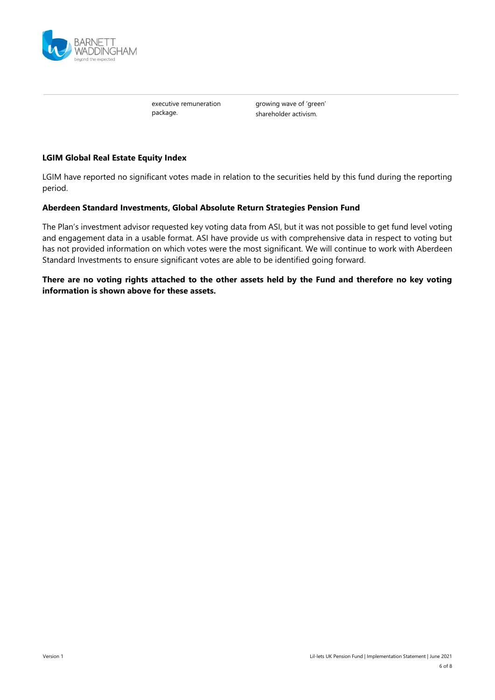

executive remuneration package.

growing wave of 'green' shareholder activism.

#### **LGIM Global Real Estate Equity Index**

LGIM have reported no significant votes made in relation to the securities held by this fund during the reporting period.

#### **Aberdeen Standard Investments, Global Absolute Return Strategies Pension Fund**

The Plan's investment advisor requested key voting data from ASI, but it was not possible to get fund level voting and engagement data in a usable format. ASI have provide us with comprehensive data in respect to voting but has not provided information on which votes were the most significant. We will continue to work with Aberdeen Standard Investments to ensure significant votes are able to be identified going forward.

#### **There are no voting rights attached to the other assets held by the Fund and therefore no key voting information is shown above for these assets.**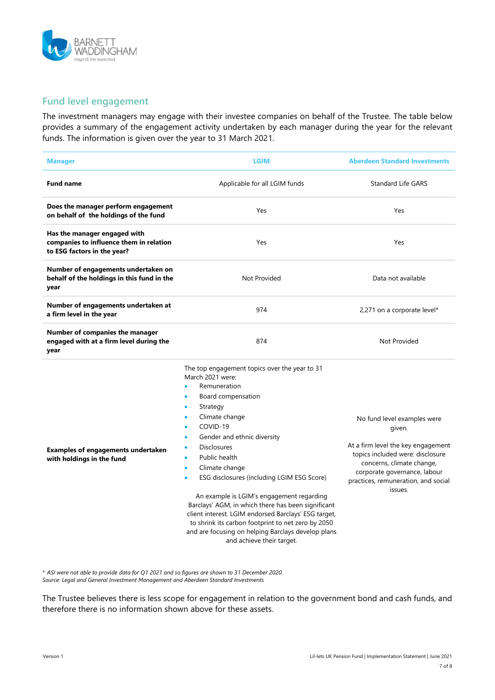

### **Fund level engagement**

The investment managers may engage with their investee companies on behalf of the Trustee. The table below provides a summary of the engagement activity undertaken by each manager during the year for the relevant funds. The information is given over the year to 31 March 2021.

| <b>Manager</b>                                                                                         | <b>LGIM</b>                                                                                                                                                                                                                                                                                                                                                                                                                                                                                                                                                                                                                             | <b>Aberdeen Standard Investments</b>                                                                                                                                                                                           |
|--------------------------------------------------------------------------------------------------------|-----------------------------------------------------------------------------------------------------------------------------------------------------------------------------------------------------------------------------------------------------------------------------------------------------------------------------------------------------------------------------------------------------------------------------------------------------------------------------------------------------------------------------------------------------------------------------------------------------------------------------------------|--------------------------------------------------------------------------------------------------------------------------------------------------------------------------------------------------------------------------------|
| <b>Fund name</b>                                                                                       | Applicable for all LGIM funds                                                                                                                                                                                                                                                                                                                                                                                                                                                                                                                                                                                                           | <b>Standard Life GARS</b>                                                                                                                                                                                                      |
| Does the manager perform engagement<br>on behalf of the holdings of the fund                           | Yes                                                                                                                                                                                                                                                                                                                                                                                                                                                                                                                                                                                                                                     | Yes                                                                                                                                                                                                                            |
| Has the manager engaged with<br>companies to influence them in relation<br>to ESG factors in the year? | Yes                                                                                                                                                                                                                                                                                                                                                                                                                                                                                                                                                                                                                                     | Yes                                                                                                                                                                                                                            |
| Number of engagements undertaken on<br>behalf of the holdings in this fund in the<br>year              | <b>Not Provided</b>                                                                                                                                                                                                                                                                                                                                                                                                                                                                                                                                                                                                                     | Data not available                                                                                                                                                                                                             |
| Number of engagements undertaken at<br>a firm level in the year                                        | 974                                                                                                                                                                                                                                                                                                                                                                                                                                                                                                                                                                                                                                     | 2,271 on a corporate level*                                                                                                                                                                                                    |
| Number of companies the manager<br>engaged with at a firm level during the<br>year                     | 874                                                                                                                                                                                                                                                                                                                                                                                                                                                                                                                                                                                                                                     | Not Provided                                                                                                                                                                                                                   |
| <b>Examples of engagements undertaken</b><br>with holdings in the fund                                 | The top engagement topics over the year to 31<br>March 2021 were:<br>Remuneration<br>Board compensation<br>Strategy<br>$\bullet$<br>Climate change<br>$\bullet$<br>COVID-19<br>Gender and ethnic diversity<br><b>Disclosures</b><br>Public health<br>٠<br>Climate change<br>$\bullet$<br>ESG disclosures (including LGIM ESG Score)<br>An example is LGIM's engagement regarding<br>Barclays' AGM, in which there has been significant<br>client interest. LGIM endorsed Barclays' ESG target,<br>to shrink its carbon footprint to net zero by 2050<br>and are focusing on helping Barclays develop plans<br>and achieve their target. | No fund level examples were<br>given.<br>At a firm level the key engagement<br>topics included were: disclosure<br>concerns, climate change,<br>corporate governance, labour<br>practices, remuneration, and social<br>issues. |

*\* ASI were not able to provide data for Q1 2021 and so figures are shown to 31 December 2020. Source: Legal and General Investment Management and Aberdeen Standard Investments*

The Trustee believes there is less scope for engagement in relation to the government bond and cash funds, and therefore there is no information shown above for these assets.